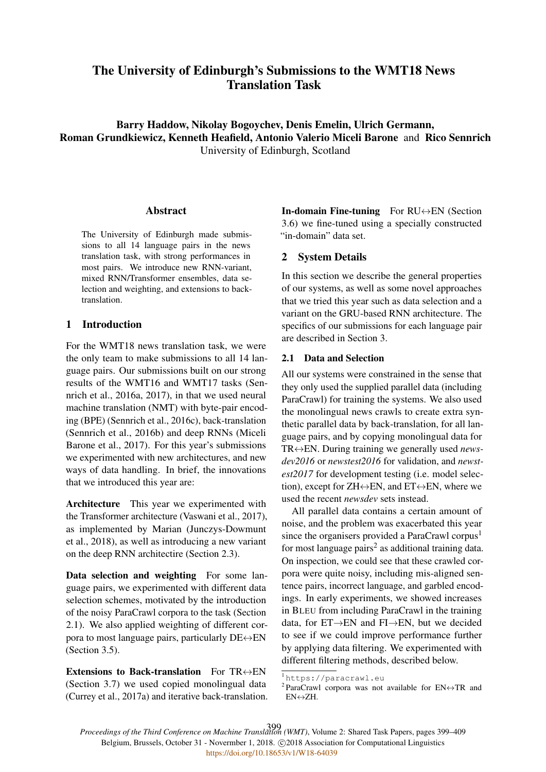# The University of Edinburgh's Submissions to the WMT18 News Translation Task

Barry Haddow, Nikolay Bogoychev, Denis Emelin, Ulrich Germann, Roman Grundkiewicz, Kenneth Heafield, Antonio Valerio Miceli Barone and Rico Sennrich University of Edinburgh, Scotland

## Abstract

The University of Edinburgh made submissions to all 14 language pairs in the news translation task, with strong performances in most pairs. We introduce new RNN-variant, mixed RNN/Transformer ensembles, data selection and weighting, and extensions to backtranslation.

## 1 Introduction

For the WMT18 news translation task, we were the only team to make submissions to all 14 language pairs. Our submissions built on our strong results of the WMT16 and WMT17 tasks (Sennrich et al., 2016a, 2017), in that we used neural machine translation (NMT) with byte-pair encoding (BPE) (Sennrich et al., 2016c), back-translation (Sennrich et al., 2016b) and deep RNNs (Miceli Barone et al., 2017). For this year's submissions we experimented with new architectures, and new ways of data handling. In brief, the innovations that we introduced this year are:

Architecture This year we experimented with the Transformer architecture (Vaswani et al., 2017), as implemented by Marian (Junczys-Dowmunt et al., 2018), as well as introducing a new variant on the deep RNN architectire (Section 2.3).

Data selection and weighting For some language pairs, we experimented with different data selection schemes, motivated by the introduction of the noisy ParaCrawl corpora to the task (Section 2.1). We also applied weighting of different corpora to most language pairs, particularly  $DE \leftrightarrow EN$ (Section 3.5).

Extensions to Back-translation For  $TR \leftrightarrow EN$ (Section 3.7) we used copied monolingual data (Currey et al., 2017a) and iterative back-translation.

In-domain Fine-tuning For RU↔EN (Section 3.6) we fine-tuned using a specially constructed "in-domain" data set.

## 2 System Details

In this section we describe the general properties of our systems, as well as some novel approaches that we tried this year such as data selection and a variant on the GRU-based RNN architecture. The specifics of our submissions for each language pair are described in Section 3.

## 2.1 Data and Selection

All our systems were constrained in the sense that they only used the supplied parallel data (including ParaCrawl) for training the systems. We also used the monolingual news crawls to create extra synthetic parallel data by back-translation, for all language pairs, and by copying monolingual data for TR↔EN. During training we generally used *newsdev2016* or *newstest2016* for validation, and *newstest2017* for development testing (i.e. model selection), except for  $ZH \leftrightarrow EN$ , and  $ET \leftrightarrow EN$ , where we used the recent *newsdev* sets instead.

All parallel data contains a certain amount of noise, and the problem was exacerbated this year since the organisers provided a ParaCrawl corpus<sup>1</sup> for most language pairs<sup>2</sup> as additional training data. On inspection, we could see that these crawled corpora were quite noisy, including mis-aligned sentence pairs, incorrect language, and garbled encodings. In early experiments, we showed increases in BLEU from including ParaCrawl in the training data, for ET→EN and FI→EN, but we decided to see if we could improve performance further by applying data filtering. We experimented with different filtering methods, described below.

*Proceedings of the Third Conference on Machine Translation (WMT)*, Volume 2: Shared Task Papers, pages 399–409 399Belgium, Brussels, October 31 - Novermber 1, 2018. @2018 Association for Computational Linguistics <https://doi.org/10.18653/v1/W18-64039>

<sup>1</sup> https://paracrawl.eu

<sup>&</sup>lt;sup>2</sup> ParaCrawl corpora was not available for  $EN \leftrightarrow TR$  and EN↔ZH.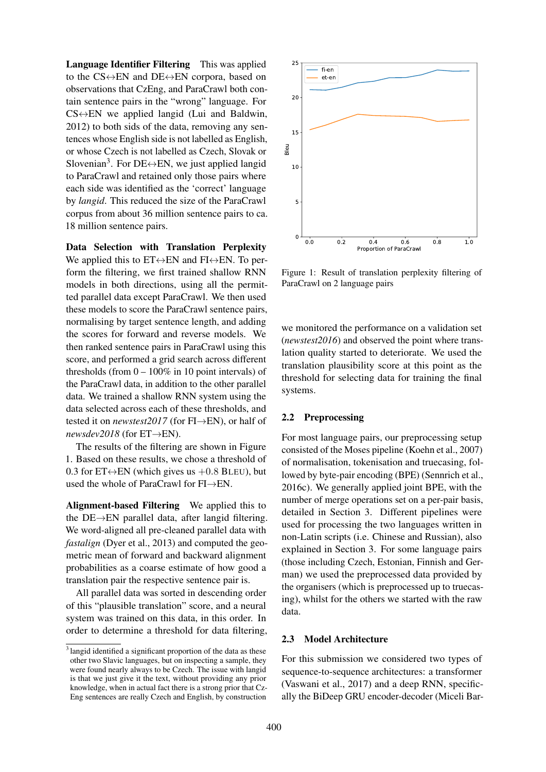Language Identifier Filtering This was applied to the  $CS \leftrightarrow EN$  and  $DE \leftrightarrow EN$  corpora, based on observations that CzEng, and ParaCrawl both contain sentence pairs in the "wrong" language. For  $CS \leftrightarrow EN$  we applied langid (Lui and Baldwin, 2012) to both sids of the data, removing any sentences whose English side is not labelled as English, or whose Czech is not labelled as Czech, Slovak or Slovenian<sup>3</sup>. For DE $\leftrightarrow$ EN, we just applied langid to ParaCrawl and retained only those pairs where each side was identified as the 'correct' language by *langid*. This reduced the size of the ParaCrawl corpus from about 36 million sentence pairs to ca. 18 million sentence pairs.

Data Selection with Translation Perplexity We applied this to  $ET \leftrightarrow EN$  and  $FI \leftrightarrow EN$ . To perform the filtering, we first trained shallow RNN models in both directions, using all the permitted parallel data except ParaCrawl. We then used these models to score the ParaCrawl sentence pairs, normalising by target sentence length, and adding the scores for forward and reverse models. We then ranked sentence pairs in ParaCrawl using this score, and performed a grid search across different thresholds (from  $0 - 100\%$  in 10 point intervals) of the ParaCrawl data, in addition to the other parallel data. We trained a shallow RNN system using the data selected across each of these thresholds, and tested it on *newstest2017* (for FI→EN), or half of *newsdev2018* (for ET→EN).

The results of the filtering are shown in Figure 1. Based on these results, we chose a threshold of 0.3 for  $ET \leftrightarrow EN$  (which gives us  $+0.8$  BLEU), but used the whole of ParaCrawl for FI→EN.

Alignment-based Filtering We applied this to the DE→EN parallel data, after langid filtering. We word-aligned all pre-cleaned parallel data with *fastalign* (Dyer et al., 2013) and computed the geometric mean of forward and backward alignment probabilities as a coarse estimate of how good a translation pair the respective sentence pair is.

All parallel data was sorted in descending order of this "plausible translation" score, and a neural system was trained on this data, in this order. In order to determine a threshold for data filtering,



Figure 1: Result of translation perplexity filtering of ParaCrawl on 2 language pairs

we monitored the performance on a validation set (*newstest2016*) and observed the point where translation quality started to deteriorate. We used the translation plausibility score at this point as the threshold for selecting data for training the final systems.

### 2.2 Preprocessing

For most language pairs, our preprocessing setup consisted of the Moses pipeline (Koehn et al., 2007) of normalisation, tokenisation and truecasing, followed by byte-pair encoding (BPE) (Sennrich et al., 2016c). We generally applied joint BPE, with the number of merge operations set on a per-pair basis, detailed in Section 3. Different pipelines were used for processing the two languages written in non-Latin scripts (i.e. Chinese and Russian), also explained in Section 3. For some language pairs (those including Czech, Estonian, Finnish and German) we used the preprocessed data provided by the organisers (which is preprocessed up to truecasing), whilst for the others we started with the raw data.

#### 2.3 Model Architecture

For this submission we considered two types of sequence-to-sequence architectures: a transformer (Vaswani et al., 2017) and a deep RNN, specifically the BiDeep GRU encoder-decoder (Miceli Bar-

<sup>&</sup>lt;sup>3</sup> langid identified a significant proportion of the data as these other two Slavic languages, but on inspecting a sample, they were found nearly always to be Czech. The issue with langid is that we just give it the text, without providing any prior knowledge, when in actual fact there is a strong prior that Cz-Eng sentences are really Czech and English, by construction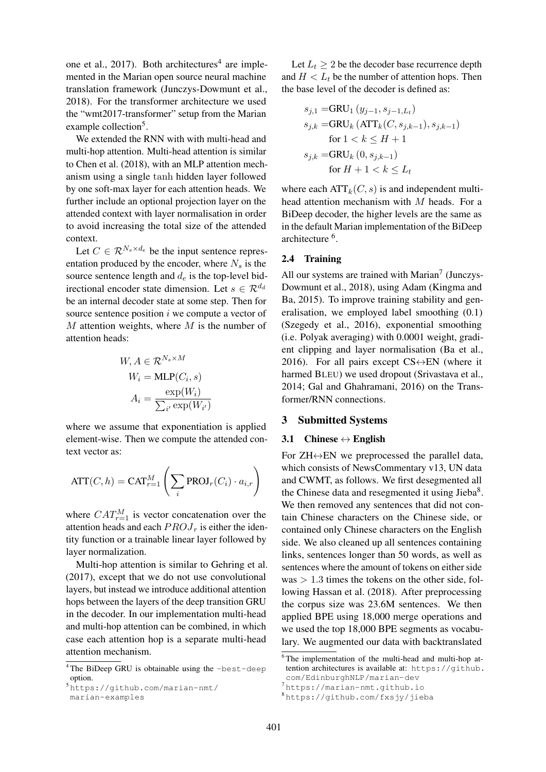one et al., 2017). Both architectures<sup>4</sup> are implemented in the Marian open source neural machine translation framework (Junczys-Dowmunt et al., 2018). For the transformer architecture we used the "wmt2017-transformer" setup from the Marian example collection<sup>5</sup>.

We extended the RNN with with multi-head and multi-hop attention. Multi-head attention is similar to Chen et al. (2018), with an MLP attention mechanism using a single tanh hidden layer followed by one soft-max layer for each attention heads. We further include an optional projection layer on the attended context with layer normalisation in order to avoid increasing the total size of the attended context.

Let  $C \in \mathcal{R}^{N_s \times d_e}$  be the input sentence representation produced by the encoder, where  $N_s$  is the source sentence length and  $d_e$  is the top-level bidirectional encoder state dimension. Let  $s \in \mathcal{R}^{d_d}$ be an internal decoder state at some step. Then for source sentence position  $i$  we compute a vector of  $M$  attention weights, where  $M$  is the number of attention heads:

$$
W, A \in \mathcal{R}^{N_s \times M}
$$

$$
W_i = \text{MLP}(C_i, s)
$$

$$
A_i = \frac{\exp(W_i)}{\sum_{i'} \exp(W_{i'})}
$$

where we assume that exponentiation is applied element-wise. Then we compute the attended context vector as:

$$
\mathrm{ATT}(C,h) = \mathrm{CAT}_{r=1}^M \left( \sum_i \mathrm{PROJ}_r(C_i) \cdot a_{i,r} \right)
$$

where  $CAT_{r=1}^{M}$  is vector concatenation over the attention heads and each  $PROJ_r$  is either the identity function or a trainable linear layer followed by layer normalization.

Multi-hop attention is similar to Gehring et al. (2017), except that we do not use convolutional layers, but instead we introduce additional attention hops between the layers of the deep transition GRU in the decoder. In our implementation multi-head and multi-hop attention can be combined, in which case each attention hop is a separate multi-head attention mechanism.

Let  $L_t \geq 2$  be the decoder base recurrence depth and  $H < L_t$  be the number of attention hops. Then the base level of the decoder is defined as:

$$
s_{j,1} = \text{GRU}_1(y_{j-1}, s_{j-1,L_t})
$$
  
\n
$$
s_{j,k} = \text{GRU}_k(\text{ATT}_k(C, s_{j,k-1}), s_{j,k-1})
$$
  
\nfor  $1 < k \le H + 1$   
\n
$$
s_{j,k} = \text{GRU}_k(0, s_{j,k-1})
$$
  
\nfor  $H + 1 < k \le L_t$ 

where each  $ATT_k(C, s)$  is and independent multihead attention mechanism with M heads. For a BiDeep decoder, the higher levels are the same as in the default Marian implementation of the BiDeep architecture <sup>6</sup>.

#### 2.4 Training

All our systems are trained with Marian<sup>7</sup> (Junczys-Dowmunt et al., 2018), using Adam (Kingma and Ba, 2015). To improve training stability and generalisation, we employed label smoothing (0.1) (Szegedy et al., 2016), exponential smoothing (i.e. Polyak averaging) with 0.0001 weight, gradient clipping and layer normalisation (Ba et al., 2016). For all pairs except  $CS \leftrightarrow EN$  (where it harmed BLEU) we used dropout (Srivastava et al., 2014; Gal and Ghahramani, 2016) on the Transformer/RNN connections.

## 3 Submitted Systems

#### 3.1 Chinese  $\leftrightarrow$  English

For  $ZH \leftrightarrow EN$  we preprocessed the parallel data, which consists of NewsCommentary v13, UN data and CWMT, as follows. We first desegmented all the Chinese data and resegmented it using Jieba<sup>8</sup>. We then removed any sentences that did not contain Chinese characters on the Chinese side, or contained only Chinese characters on the English side. We also cleaned up all sentences containing links, sentences longer than 50 words, as well as sentences where the amount of tokens on either side was  $> 1.3$  times the tokens on the other side, following Hassan et al. (2018). After preprocessing the corpus size was 23.6M sentences. We then applied BPE using 18,000 merge operations and we used the top 18,000 BPE segments as vocabulary. We augmented our data with backtranslated

 $4$ The BiDeep GRU is obtainable using the -best-deep option.

<sup>5</sup> https://github.com/marian-nmt/ marian-examples

<sup>6</sup> The implementation of the multi-head and multi-hop attention architectures is available at: https://github. com/EdinburghNLP/marian-dev

<sup>7</sup> https://marian-nmt.github.io

<sup>8</sup> https://github.com/fxsjy/jieba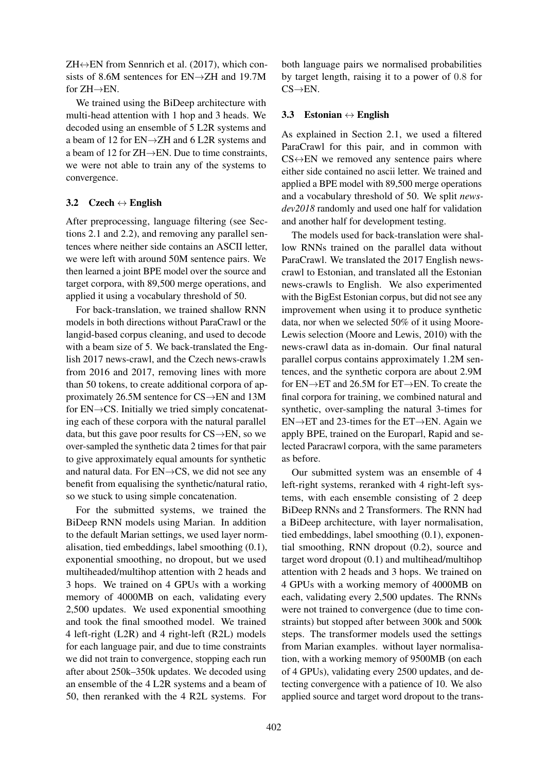$ZH \leftrightarrow EN$  from Sennrich et al. (2017), which consists of 8.6M sentences for EN→ZH and 19.7M for  $ZH\rightarrow EN$ .

We trained using the BiDeep architecture with multi-head attention with 1 hop and 3 heads. We decoded using an ensemble of 5 L2R systems and a beam of 12 for EN→ZH and 6 L2R systems and a beam of 12 for ZH→EN. Due to time constraints, we were not able to train any of the systems to convergence.

## 3.2 Czech  $\leftrightarrow$  English

After preprocessing, language filtering (see Sections 2.1 and 2.2), and removing any parallel sentences where neither side contains an ASCII letter, we were left with around 50M sentence pairs. We then learned a joint BPE model over the source and target corpora, with 89,500 merge operations, and applied it using a vocabulary threshold of 50.

For back-translation, we trained shallow RNN models in both directions without ParaCrawl or the langid-based corpus cleaning, and used to decode with a beam size of 5. We back-translated the English 2017 news-crawl, and the Czech news-crawls from 2016 and 2017, removing lines with more than 50 tokens, to create additional corpora of approximately 26.5M sentence for CS→EN and 13M for  $EN \rightarrow CS$ . Initially we tried simply concatenating each of these corpora with the natural parallel data, but this gave poor results for  $CS \rightarrow EN$ , so we over-sampled the synthetic data 2 times for that pair to give approximately equal amounts for synthetic and natural data. For EN→CS, we did not see any benefit from equalising the synthetic/natural ratio, so we stuck to using simple concatenation.

For the submitted systems, we trained the BiDeep RNN models using Marian. In addition to the default Marian settings, we used layer normalisation, tied embeddings, label smoothing (0.1), exponential smoothing, no dropout, but we used multiheaded/multihop attention with 2 heads and 3 hops. We trained on 4 GPUs with a working memory of 4000MB on each, validating every 2,500 updates. We used exponential smoothing and took the final smoothed model. We trained 4 left-right (L2R) and 4 right-left (R2L) models for each language pair, and due to time constraints we did not train to convergence, stopping each run after about 250k–350k updates. We decoded using an ensemble of the 4 L2R systems and a beam of 50, then reranked with the 4 R2L systems. For both language pairs we normalised probabilities by target length, raising it to a power of 0.8 for  $CS \rightarrow EN$ .

## 3.3 Estonian  $\leftrightarrow$  English

As explained in Section 2.1, we used a filtered ParaCrawl for this pair, and in common with  $CS \leftrightarrow EN$  we removed any sentence pairs where either side contained no ascii letter. We trained and applied a BPE model with 89,500 merge operations and a vocabulary threshold of 50. We split *newsdev2018* randomly and used one half for validation and another half for development testing.

The models used for back-translation were shallow RNNs trained on the parallel data without ParaCrawl. We translated the 2017 English newscrawl to Estonian, and translated all the Estonian news-crawls to English. We also experimented with the BigEst Estonian corpus, but did not see any improvement when using it to produce synthetic data, nor when we selected 50% of it using Moore-Lewis selection (Moore and Lewis, 2010) with the news-crawl data as in-domain. Our final natural parallel corpus contains approximately 1.2M sentences, and the synthetic corpora are about 2.9M for EN→ET and 26.5M for ET→EN. To create the final corpora for training, we combined natural and synthetic, over-sampling the natural 3-times for EN→ET and 23-times for the ET→EN. Again we apply BPE, trained on the Europarl, Rapid and selected Paracrawl corpora, with the same parameters as before.

Our submitted system was an ensemble of 4 left-right systems, reranked with 4 right-left systems, with each ensemble consisting of 2 deep BiDeep RNNs and 2 Transformers. The RNN had a BiDeep architecture, with layer normalisation, tied embeddings, label smoothing (0.1), exponential smoothing, RNN dropout (0.2), source and target word dropout (0.1) and multihead/multihop attention with 2 heads and 3 hops. We trained on 4 GPUs with a working memory of 4000MB on each, validating every 2,500 updates. The RNNs were not trained to convergence (due to time constraints) but stopped after between 300k and 500k steps. The transformer models used the settings from Marian examples. without layer normalisation, with a working memory of 9500MB (on each of 4 GPUs), validating every 2500 updates, and detecting convergence with a patience of 10. We also applied source and target word dropout to the trans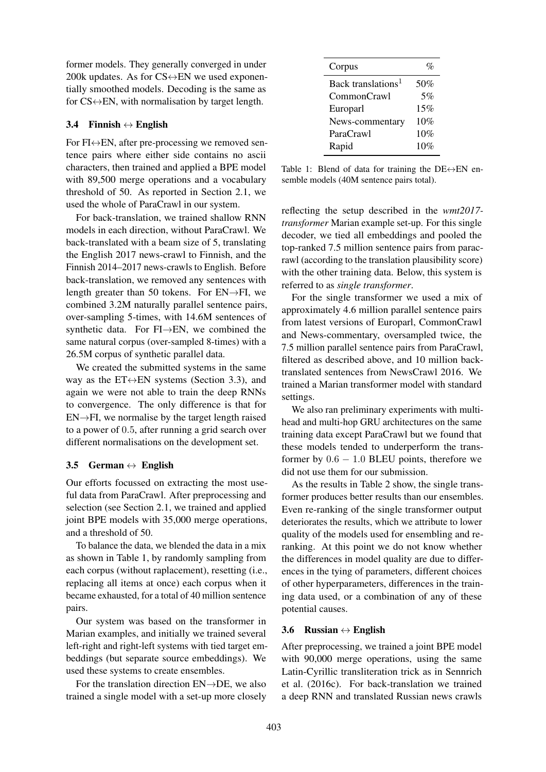former models. They generally converged in under 200k updates. As for  $CS \leftrightarrow EN$  we used exponentially smoothed models. Decoding is the same as for  $CS \leftrightarrow EN$ , with normalisation by target length.

#### 3.4 Finnish  $\leftrightarrow$  English

For  $FI \leftrightarrow EN$ , after pre-processing we removed sentence pairs where either side contains no ascii characters, then trained and applied a BPE model with 89,500 merge operations and a vocabulary threshold of 50. As reported in Section 2.1, we used the whole of ParaCrawl in our system.

For back-translation, we trained shallow RNN models in each direction, without ParaCrawl. We back-translated with a beam size of 5, translating the English 2017 news-crawl to Finnish, and the Finnish 2014–2017 news-crawls to English. Before back-translation, we removed any sentences with length greater than 50 tokens. For  $EN \rightarrow FI$ , we combined 3.2M naturally parallel sentence pairs, over-sampling 5-times, with 14.6M sentences of synthetic data. For FI→EN, we combined the same natural corpus (over-sampled 8-times) with a 26.5M corpus of synthetic parallel data.

We created the submitted systems in the same way as the  $ET \leftrightarrow EN$  systems (Section 3.3), and again we were not able to train the deep RNNs to convergence. The only difference is that for  $EN \rightarrow FI$ , we normalise by the target length raised to a power of 0.5, after running a grid search over different normalisations on the development set.

### 3.5 German  $\leftrightarrow$  English

Our efforts focussed on extracting the most useful data from ParaCrawl. After preprocessing and selection (see Section 2.1, we trained and applied joint BPE models with 35,000 merge operations, and a threshold of 50.

To balance the data, we blended the data in a mix as shown in Table 1, by randomly sampling from each corpus (without raplacement), resetting (i.e., replacing all items at once) each corpus when it became exhausted, for a total of 40 million sentence pairs.

Our system was based on the transformer in Marian examples, and initially we trained several left-right and right-left systems with tied target embeddings (but separate source embeddings). We used these systems to create ensembles.

For the translation direction  $EN\rightarrow DE$ , we also trained a single model with a set-up more closely

| Corpus                         | $\mathcal{O}_\mathcal{O}$ |
|--------------------------------|---------------------------|
| Back translations <sup>1</sup> | 50%                       |
| CommonCrawl                    | 5%                        |
| Europarl                       | 15%                       |
| News-commentary                | 10%                       |
| ParaCrawl                      | 10%                       |
| Rapid                          | 10%                       |

Table 1: Blend of data for training the  $DE \leftrightarrow EN$  ensemble models (40M sentence pairs total).

reflecting the setup described in the *wmt2017 transformer* Marian example set-up. For this single decoder, we tied all embeddings and pooled the top-ranked 7.5 million sentence pairs from paracrawl (according to the translation plausibility score) with the other training data. Below, this system is referred to as *single transformer*.

For the single transformer we used a mix of approximately 4.6 million parallel sentence pairs from latest versions of Europarl, CommonCrawl and News-commentary, oversampled twice, the 7.5 million parallel sentence pairs from ParaCrawl, filtered as described above, and 10 million backtranslated sentences from NewsCrawl 2016. We trained a Marian transformer model with standard settings.

We also ran preliminary experiments with multihead and multi-hop GRU architectures on the same training data except ParaCrawl but we found that these models tended to underperform the transformer by  $0.6 - 1.0$  BLEU points, therefore we did not use them for our submission.

As the results in Table 2 show, the single transformer produces better results than our ensembles. Even re-ranking of the single transformer output deteriorates the results, which we attribute to lower quality of the models used for ensembling and reranking. At this point we do not know whether the differences in model quality are due to differences in the tying of parameters, different choices of other hyperparameters, differences in the training data used, or a combination of any of these potential causes.

### 3.6 Russian  $\leftrightarrow$  English

After preprocessing, we trained a joint BPE model with 90,000 merge operations, using the same Latin-Cyrillic transliteration trick as in Sennrich et al. (2016c). For back-translation we trained a deep RNN and translated Russian news crawls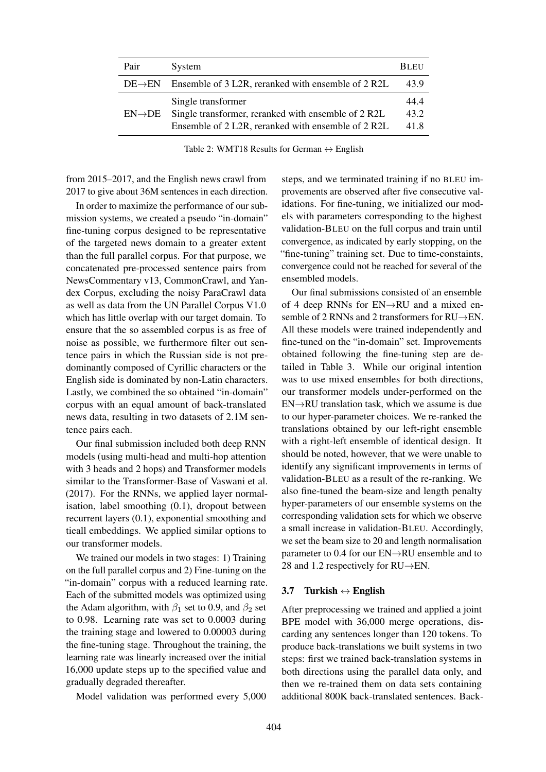| Pair                | System                                                                                                                          | <b>BLEU</b>          |
|---------------------|---------------------------------------------------------------------------------------------------------------------------------|----------------------|
| $DE \rightarrow EN$ | Ensemble of 3 L2R, reranked with ensemble of 2 R2L                                                                              | 43.9                 |
| $EN\rightarrow DE$  | Single transformer<br>Single transformer, reranked with ensemble of 2 R2L<br>Ensemble of 2 L2R, reranked with ensemble of 2 R2L | 44.4<br>43.2<br>41.8 |

Table 2: WMT18 Results for German  $\leftrightarrow$  English

from 2015–2017, and the English news crawl from 2017 to give about 36M sentences in each direction.

In order to maximize the performance of our submission systems, we created a pseudo "in-domain" fine-tuning corpus designed to be representative of the targeted news domain to a greater extent than the full parallel corpus. For that purpose, we concatenated pre-processed sentence pairs from NewsCommentary v13, CommonCrawl, and Yandex Corpus, excluding the noisy ParaCrawl data as well as data from the UN Parallel Corpus V1.0 which has little overlap with our target domain. To ensure that the so assembled corpus is as free of noise as possible, we furthermore filter out sentence pairs in which the Russian side is not predominantly composed of Cyrillic characters or the English side is dominated by non-Latin characters. Lastly, we combined the so obtained "in-domain" corpus with an equal amount of back-translated news data, resulting in two datasets of 2.1M sentence pairs each.

Our final submission included both deep RNN models (using multi-head and multi-hop attention with 3 heads and 2 hops) and Transformer models similar to the Transformer-Base of Vaswani et al. (2017). For the RNNs, we applied layer normalisation, label smoothing (0.1), dropout between recurrent layers (0.1), exponential smoothing and tieall embeddings. We applied similar options to our transformer models.

We trained our models in two stages: 1) Training on the full parallel corpus and 2) Fine-tuning on the "in-domain" corpus with a reduced learning rate. Each of the submitted models was optimized using the Adam algorithm, with  $\beta_1$  set to 0.9, and  $\beta_2$  set to 0.98. Learning rate was set to 0.0003 during the training stage and lowered to 0.00003 during the fine-tuning stage. Throughout the training, the learning rate was linearly increased over the initial 16,000 update steps up to the specified value and gradually degraded thereafter.

Model validation was performed every 5,000

steps, and we terminated training if no BLEU improvements are observed after five consecutive validations. For fine-tuning, we initialized our models with parameters corresponding to the highest validation-BLEU on the full corpus and train until convergence, as indicated by early stopping, on the "fine-tuning" training set. Due to time-constaints, convergence could not be reached for several of the ensembled models.

Our final submissions consisted of an ensemble of 4 deep RNNs for EN→RU and a mixed ensemble of 2 RNNs and 2 transformers for RU→EN. All these models were trained independently and fine-tuned on the "in-domain" set. Improvements obtained following the fine-tuning step are detailed in Table 3. While our original intention was to use mixed ensembles for both directions, our transformer models under-performed on the EN→RU translation task, which we assume is due to our hyper-parameter choices. We re-ranked the translations obtained by our left-right ensemble with a right-left ensemble of identical design. It should be noted, however, that we were unable to identify any significant improvements in terms of validation-BLEU as a result of the re-ranking. We also fine-tuned the beam-size and length penalty hyper-parameters of our ensemble systems on the corresponding validation sets for which we observe a small increase in validation-BLEU. Accordingly, we set the beam size to 20 and length normalisation parameter to 0.4 for our EN→RU ensemble and to 28 and 1.2 respectively for RU→EN.

#### 3.7 Turkish  $\leftrightarrow$  English

After preprocessing we trained and applied a joint BPE model with 36,000 merge operations, discarding any sentences longer than 120 tokens. To produce back-translations we built systems in two steps: first we trained back-translation systems in both directions using the parallel data only, and then we re-trained them on data sets containing additional 800K back-translated sentences. Back-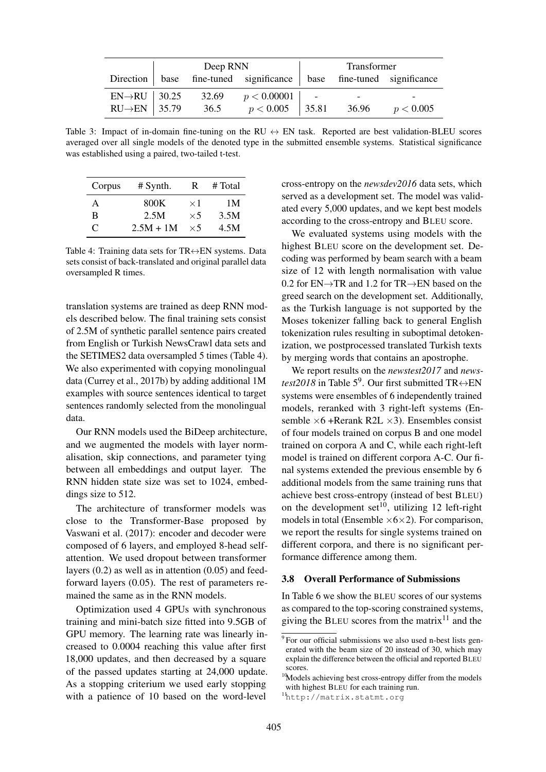|                            | Deep RNN |       |                                                                     | Transformer |           |
|----------------------------|----------|-------|---------------------------------------------------------------------|-------------|-----------|
|                            |          |       | Direction base fine-tuned significance base fine-tuned significance |             |           |
| $EN\rightarrow$ RU   30.25 |          | 32.69 | p < 0.00001                                                         |             |           |
| $RU\rightarrow EN$ 35.79   |          | 36.5  | $p < 0.005$   35.81                                                 | 36.96       | p < 0.005 |

Table 3: Impact of in-domain fine-tuning on the RU  $\leftrightarrow$  EN task. Reported are best validation-BLEU scores averaged over all single models of the denoted type in the submitted ensemble systems. Statistical significance was established using a paired, two-tailed t-test.

| Corpus    | $#$ Synth.  | R          | # Total |
|-----------|-------------|------------|---------|
| А         | 800K        | $\times 1$ | 1 M     |
| В         | 2.5M        | $\times$ 5 | 3.5M    |
| $\subset$ | $2.5M + 1M$ | $\times$ 5 | 4.5M    |

Table 4: Training data sets for  $TR \leftrightarrow EN$  systems. Data sets consist of back-translated and original parallel data oversampled R times.

translation systems are trained as deep RNN models described below. The final training sets consist of 2.5M of synthetic parallel sentence pairs created from English or Turkish NewsCrawl data sets and the SETIMES2 data oversampled 5 times (Table 4). We also experimented with copying monolingual data (Currey et al., 2017b) by adding additional 1M examples with source sentences identical to target sentences randomly selected from the monolingual data.

Our RNN models used the BiDeep architecture, and we augmented the models with layer normalisation, skip connections, and parameter tying between all embeddings and output layer. The RNN hidden state size was set to 1024, embeddings size to 512.

The architecture of transformer models was close to the Transformer-Base proposed by Vaswani et al. (2017): encoder and decoder were composed of 6 layers, and employed 8-head selfattention. We used dropout between transformer layers (0.2) as well as in attention (0.05) and feedforward layers (0.05). The rest of parameters remained the same as in the RNN models.

Optimization used 4 GPUs with synchronous training and mini-batch size fitted into 9.5GB of GPU memory. The learning rate was linearly increased to 0.0004 reaching this value after first 18,000 updates, and then decreased by a square of the passed updates starting at 24,000 update. As a stopping criterium we used early stopping with a patience of 10 based on the word-level

cross-entropy on the *newsdev2016* data sets, which served as a development set. The model was validated every 5,000 updates, and we kept best models according to the cross-entropy and BLEU score.

We evaluated systems using models with the highest BLEU score on the development set. Decoding was performed by beam search with a beam size of 12 with length normalisation with value 0.2 for EN→TR and 1.2 for TR→EN based on the greed search on the development set. Additionally, as the Turkish language is not supported by the Moses tokenizer falling back to general English tokenization rules resulting in suboptimal detokenization, we postprocessed translated Turkish texts by merging words that contains an apostrophe.

We report results on the *newstest2017* and *newstest2018* in Table  $5^9$ . Our first submitted TR $\leftrightarrow$ EN systems were ensembles of 6 independently trained models, reranked with 3 right-left systems (Ensemble  $\times$ 6 +Rerank R2L  $\times$ 3). Ensembles consist of four models trained on corpus B and one model trained on corpora A and C, while each right-left model is trained on different corpora A-C. Our final systems extended the previous ensemble by 6 additional models from the same training runs that achieve best cross-entropy (instead of best BLEU) on the development set<sup>10</sup>, utilizing 12 left-right models in total (Ensemble  $\times$ 6 $\times$ 2). For comparison, we report the results for single systems trained on different corpora, and there is no significant performance difference among them.

#### 3.8 Overall Performance of Submissions

In Table 6 we show the BLEU scores of our systems as compared to the top-scoring constrained systems, giving the BLEU scores from the matrix<sup>11</sup> and the

<sup>&</sup>lt;sup>9</sup> For our official submissions we also used n-best lists generated with the beam size of 20 instead of 30, which may explain the difference between the official and reported BLEU scores.

<sup>&</sup>lt;sup>10</sup>Models achieving best cross-entropy differ from the models with highest BLEU for each training run.

<sup>11</sup>http://matrix.statmt.org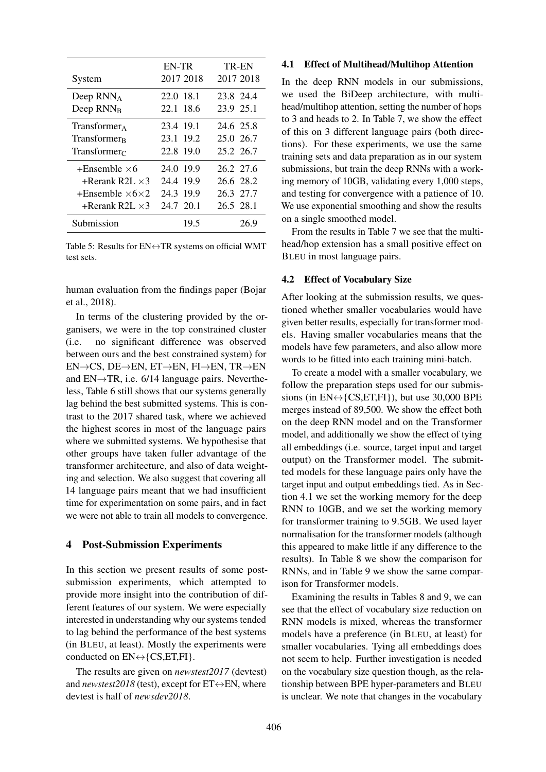|                                    | EN-TR     | TR-EN     |
|------------------------------------|-----------|-----------|
| System                             | 2017 2018 | 2017 2018 |
| Deep $RNN_A$                       | 22.0 18.1 | 23.8 24.4 |
| Deep RNN <sub>R</sub>              | 22.1 18.6 | 23.9 25.1 |
| $Transformer_{A}$                  | 23.4 19.1 | 24.6 25.8 |
| Transformer <sub>R</sub>           | 23.1 19.2 | 25.0 26.7 |
| Transformer $\epsilon$             | 22.8 19.0 | 25.2 26.7 |
| $+$ Ensemble $\times$ 6            | 24.0 19.9 | 26.2 27.6 |
| +Rerank R2L $\times$ 3             | 24.4 19.9 | 26.6 28.2 |
| $+$ Ensemble $\times$ 6 $\times$ 2 | 24.3 19.9 | 26.3 27.7 |
| +Rerank R2L $\times$ 3             | 24.7 20.1 | 26.5 28.1 |
| Submission                         | 19.5      | 26.9      |

Table 5: Results for  $EN \leftrightarrow TR$  systems on official WMT test sets.

human evaluation from the findings paper (Bojar et al., 2018).

In terms of the clustering provided by the organisers, we were in the top constrained cluster (i.e. no significant difference was observed between ours and the best constrained system) for EN→CS, DE→EN, ET→EN, FI→EN, TR→EN and  $EN \rightarrow TR$ , i.e. 6/14 language pairs. Nevertheless, Table 6 still shows that our systems generally lag behind the best submitted systems. This is contrast to the 2017 shared task, where we achieved the highest scores in most of the language pairs where we submitted systems. We hypothesise that other groups have taken fuller advantage of the transformer architecture, and also of data weighting and selection. We also suggest that covering all 14 language pairs meant that we had insufficient time for experimentation on some pairs, and in fact we were not able to train all models to convergence.

### 4 Post-Submission Experiments

In this section we present results of some postsubmission experiments, which attempted to provide more insight into the contribution of different features of our system. We were especially interested in understanding why our systems tended to lag behind the performance of the best systems (in BLEU, at least). Mostly the experiments were conducted on  $EN \leftrightarrow \{CS, ET, FI\}$ .

The results are given on *newstest2017* (devtest) and *newstest2018* (test), except for  $ET \leftrightarrow EN$ , where devtest is half of *newsdev2018*.

#### 4.1 Effect of Multihead/Multihop Attention

In the deep RNN models in our submissions, we used the BiDeep architecture, with multihead/multihop attention, setting the number of hops to 3 and heads to 2. In Table 7, we show the effect of this on 3 different language pairs (both directions). For these experiments, we use the same training sets and data preparation as in our system submissions, but train the deep RNNs with a working memory of 10GB, validating every 1,000 steps, and testing for convergence with a patience of 10. We use exponential smoothing and show the results on a single smoothed model.

From the results in Table 7 we see that the multihead/hop extension has a small positive effect on BLEU in most language pairs.

#### 4.2 Effect of Vocabulary Size

After looking at the submission results, we questioned whether smaller vocabularies would have given better results, especially for transformer models. Having smaller vocabularies means that the models have few parameters, and also allow more words to be fitted into each training mini-batch.

To create a model with a smaller vocabulary, we follow the preparation steps used for our submissions (in  $EN \leftrightarrow \{CS, ET, FI\}$ ), but use 30,000 BPE merges instead of 89,500. We show the effect both on the deep RNN model and on the Transformer model, and additionally we show the effect of tying all embeddings (i.e. source, target input and target output) on the Transformer model. The submitted models for these language pairs only have the target input and output embeddings tied. As in Section 4.1 we set the working memory for the deep RNN to 10GB, and we set the working memory for transformer training to 9.5GB. We used layer normalisation for the transformer models (although this appeared to make little if any difference to the results). In Table 8 we show the comparison for RNNs, and in Table 9 we show the same comparison for Transformer models.

Examining the results in Tables 8 and 9, we can see that the effect of vocabulary size reduction on RNN models is mixed, whereas the transformer models have a preference (in BLEU, at least) for smaller vocabularies. Tying all embeddings does not seem to help. Further investigation is needed on the vocabulary size question though, as the relationship between BPE hyper-parameters and BLEU is unclear. We note that changes in the vocabulary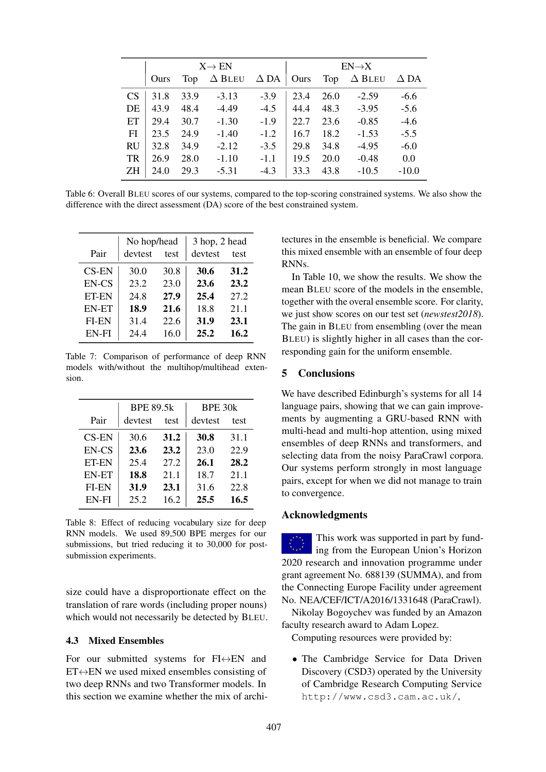|                 | $X \rightarrow EN$ |      |               | $EN \rightarrow X$ |      |      |               |             |
|-----------------|--------------------|------|---------------|--------------------|------|------|---------------|-------------|
|                 | Ours               | Top  | $\Delta$ Bleu | $\Delta$ DA        | Ours | Top  | $\Delta$ Bleu | $\Delta$ DA |
| CS <sup>-</sup> | 31.8               | 33.9 | $-3.13$       | $-3.9$             | 23.4 | 26.0 | $-2.59$       | $-6.6$      |
| DE              | 43.9               | 48.4 | $-4.49$       | $-4.5$             | 44.4 | 48.3 | $-3.95$       | $-5.6$      |
| ET              | 29.4               | 30.7 | $-1.30$       | $-1.9$             | 22.7 | 23.6 | $-0.85$       | $-4.6$      |
| FI              | 23.5               | 24.9 | $-1.40$       | $-1.2$             | 16.7 | 18.2 | $-1.53$       | $-5.5$      |
| <b>RU</b>       | 32.8               | 34.9 | $-2.12$       | $-3.5$             | 29.8 | 34.8 | $-4.95$       | $-6.0$      |
| TR              | 26.9               | 28.0 | $-1.10$       | $-1.1$             | 19.5 | 20.0 | $-0.48$       | 0.0         |
| ΖH              | 24.0               | 29.3 | $-5.31$       | $-4.3$             | 33.3 | 43.8 | $-10.5$       | $-10.0$     |

Table 6: Overall BLEU scores of our systems, compared to the top-scoring constrained systems. We also show the difference with the direct assessment (DA) score of the best constrained system.

|              | No hop/head |      | 3 hop, 2 head |      |
|--------------|-------------|------|---------------|------|
| Pair         | devtest     | test | devtest       | test |
| <b>CS-EN</b> | 30.0        | 30.8 | 30.6          | 31.2 |
| EN-CS        | 23.2        | 23.0 | 23.6          | 23.2 |
| ET-EN        | 24.8        | 27.9 | 25.4          | 27.2 |
| <b>EN-ET</b> | 18.9        | 21.6 | 18.8          | 21.1 |
| FI-EN        | 31.4        | 22.6 | 31.9          | 23.1 |
| EN-FI        | 24.4        | 16.0 | 25.2          | 16.2 |

Table 7: Comparison of performance of deep RNN models with/without the multihop/multihead extension.

|              | <b>BPE 89.5k</b> |      | BPE 30k |      |
|--------------|------------------|------|---------|------|
| Pair         | devtest          | test |         | test |
| $CS-EN$      | 30.6             | 31.2 | 30.8    | 31.1 |
| EN-CS        | 23.6             | 23.2 | 23.0    | 22.9 |
| ET-EN        | 25.4             | 27.2 | 26.1    | 28.2 |
| <b>EN-ET</b> | 18.8             | 21.1 | 18.7    | 21.1 |
| <b>FI-EN</b> | 31.9             | 23.1 | 31.6    | 22.8 |
| EN-FI        | 25.2             | 16.2 | 25.5    | 16.5 |
|              |                  |      |         |      |

Table 8: Effect of reducing vocabulary size for deep RNN models. We used 89,500 BPE merges for our submissions, but tried reducing it to 30,000 for postsubmission experiments.

size could have a disproportionate effect on the translation of rare words (including proper nouns) which would not necessarily be detected by BLEU.

## 4.3 Mixed Ensembles

For our submitted systems for  $FI \leftrightarrow EN$  and  $ET \leftrightarrow EN$  we used mixed ensembles consisting of two deep RNNs and two Transformer models. In this section we examine whether the mix of architectures in the ensemble is beneficial. We compare this mixed ensemble with an ensemble of four deep RNNs.

In Table 10, we show the results. We show the mean BLEU score of the models in the ensemble, together with the overal ensemble score. For clarity, we just show scores on our test set (*newstest2018*). The gain in BLEU from ensembling (over the mean BLEU) is slightly higher in all cases than the corresponding gain for the uniform ensemble.

### 5 Conclusions

We have described Edinburgh's systems for all 14 language pairs, showing that we can gain improvements by augmenting a GRU-based RNN with multi-head and multi-hop attention, using mixed ensembles of deep RNNs and transformers, and selecting data from the noisy ParaCrawl corpora. Our systems perform strongly in most language pairs, except for when we did not manage to train to convergence.

## Acknowledgments

This work was supported in part by funding from the European Union's Horizon 2020 research and innovation programme under grant agreement No. 688139 (SUMMA), and from the Connecting Europe Facility under agreement No. NEA/CEF/ICT/A2016/1331648 (ParaCrawl).

Nikolay Bogoychev was funded by an Amazon faculty research award to Adam Lopez.

Computing resources were provided by:

• The Cambridge Service for Data Driven Discovery (CSD3) operated by the University of Cambridge Research Computing Service http://www.csd3.cam.ac.uk/,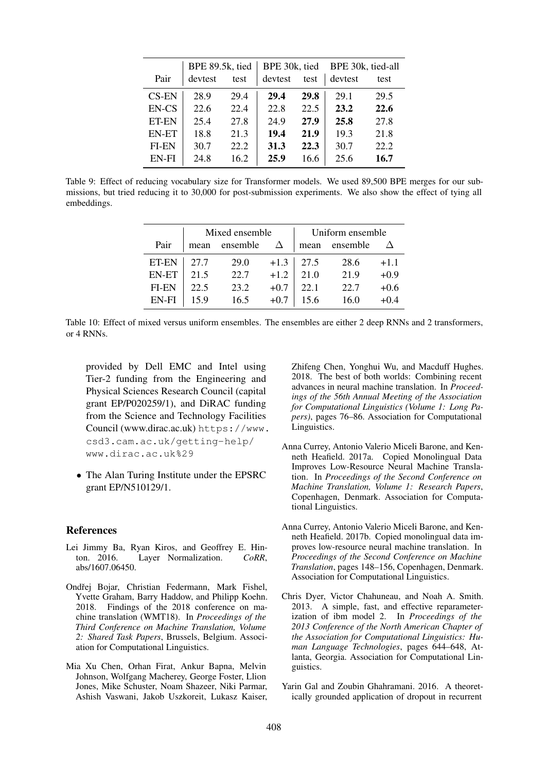|              | BPE 89.5k, tied |      | BPE 30k, tied |      | BPE 30k, tied-all |      |
|--------------|-----------------|------|---------------|------|-------------------|------|
| Pair         | devtest         | test | devtest       | test | devtest           | test |
| <b>CS-EN</b> | 28.9            | 29.4 | 29.4          | 29.8 | 29.1              | 29.5 |
| EN-CS        | 22.6            | 22.4 | 22.8          | 22.5 | 23.2              | 22.6 |
| <b>ET-EN</b> | 25.4            | 27.8 | 24.9          | 27.9 | 25.8              | 27.8 |
| <b>EN-ET</b> | 18.8            | 21.3 | 19.4          | 21.9 | 19.3              | 21.8 |
| FI-EN        | 30.7            | 22.2 | 31.3          | 22.3 | 30.7              | 22.2 |
| EN-FI        | 24.8            | 16.2 | 25.9          | 16.6 | 25.6              | 16.7 |

Table 9: Effect of reducing vocabulary size for Transformer models. We used 89,500 BPE merges for our submissions, but tried reducing it to 30,000 for post-submission experiments. We also show the effect of tying all embeddings.

|              | Mixed ensemble |          |        | Uniform ensemble |          |        |
|--------------|----------------|----------|--------|------------------|----------|--------|
| Pair         | mean           | ensemble |        | mean             | ensemble |        |
| ET-EN        | 27.7           | 29.0     | $+1.3$ | 27.5             | 28.6     | $+1.1$ |
| <b>EN-ET</b> | 21.5           | 22.7     | $+1.2$ | 21.0             | 21.9     | $+0.9$ |
| <b>FI-EN</b> | 22.5           | 23.2     | $+0.7$ | 22.1             | 22.7     | $+0.6$ |
| EN-FI        | 159            | 16.5     | $+0.7$ | 15.6             | 16.0     | $+0.4$ |

Table 10: Effect of mixed versus uniform ensembles. The ensembles are either 2 deep RNNs and 2 transformers, or 4 RNNs.

provided by Dell EMC and Intel using Tier-2 funding from the Engineering and Physical Sciences Research Council (capital grant EP/P020259/1), and DiRAC funding from the Science and Technology Facilities Council (www.dirac.ac.uk) https://www. csd3.cam.ac.uk/getting-help/ www.dirac.ac.uk%29

• The Alan Turing Institute under the EPSRC grant EP/N510129/1.

#### References

- Lei Jimmy Ba, Ryan Kiros, and Geoffrey E. Hinton. 2016. Layer Normalization. *CoRR*, abs/1607.06450.
- Ondřej Bojar, Christian Federmann, Mark Fishel, Yvette Graham, Barry Haddow, and Philipp Koehn. 2018. Findings of the 2018 conference on machine translation (WMT18). In *Proceedings of the Third Conference on Machine Translation, Volume 2: Shared Task Papers*, Brussels, Belgium. Association for Computational Linguistics.
- Mia Xu Chen, Orhan Firat, Ankur Bapna, Melvin Johnson, Wolfgang Macherey, George Foster, Llion Jones, Mike Schuster, Noam Shazeer, Niki Parmar, Ashish Vaswani, Jakob Uszkoreit, Lukasz Kaiser,

Zhifeng Chen, Yonghui Wu, and Macduff Hughes. 2018. The best of both worlds: Combining recent advances in neural machine translation. In *Proceedings of the 56th Annual Meeting of the Association for Computational Linguistics (Volume 1: Long Papers)*, pages 76–86. Association for Computational Linguistics.

- Anna Currey, Antonio Valerio Miceli Barone, and Kenneth Heafield. 2017a. Copied Monolingual Data Improves Low-Resource Neural Machine Translation. In *Proceedings of the Second Conference on Machine Translation, Volume 1: Research Papers*, Copenhagen, Denmark. Association for Computational Linguistics.
- Anna Currey, Antonio Valerio Miceli Barone, and Kenneth Heafield. 2017b. Copied monolingual data improves low-resource neural machine translation. In *Proceedings of the Second Conference on Machine Translation*, pages 148–156, Copenhagen, Denmark. Association for Computational Linguistics.
- Chris Dyer, Victor Chahuneau, and Noah A. Smith. 2013. A simple, fast, and effective reparameterization of ibm model 2. In *Proceedings of the 2013 Conference of the North American Chapter of the Association for Computational Linguistics: Human Language Technologies*, pages 644–648, Atlanta, Georgia. Association for Computational Linguistics.
- Yarin Gal and Zoubin Ghahramani. 2016. A theoretically grounded application of dropout in recurrent